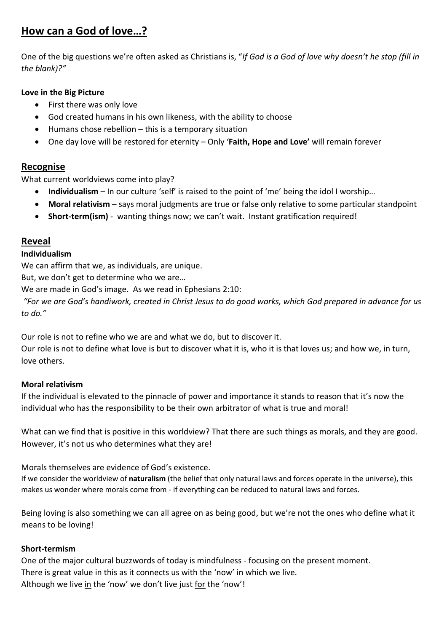# **How can a God of love…?**

One of the big questions we're often asked as Christians is, "*If God is a God of love why doesn't he stop (fill in the blank)?"*

## **Love in the Big Picture**

- First there was only love
- God created humans in his own likeness, with the ability to choose
- Humans chose rebellion this is a temporary situation
- One day love will be restored for eternity Only '**Faith, Hope and Love'** will remain forever

# **Recognise**

What current worldviews come into play?

- **Individualism**  In our culture 'self' is raised to the point of 'me' being the idol I worship…
- **Moral relativism** says moral judgments are true or false only relative to some particular standpoint
- **Short-term(ism)** wanting things now; we can't wait. Instant gratification required!

# **Reveal**

#### **Individualism**

We can affirm that we, as individuals, are unique.

But, we don't get to determine who we are…

We are made in God's image. As we read in Ephesians 2:10:

*"For we are God's handiwork, created in Christ Jesus to do good works, which God prepared in advance for us to do."*

Our role is not to refine who we are and what we do, but to discover it.

Our role is not to define what love is but to discover what it is, who it is that loves us; and how we, in turn, love others.

#### **Moral relativism**

If the individual is elevated to the pinnacle of power and importance it stands to reason that it's now the individual who has the responsibility to be their own arbitrator of what is true and moral!

What can we find that is positive in this worldview? That there are such things as morals, and they are good. However, it's not us who determines what they are!

Morals themselves are evidence of God's existence.

If we consider the worldview of **naturalism** (the belief that only natural laws and forces operate in the universe), this makes us wonder where morals come from - if everything can be reduced to natural laws and forces.

Being loving is also something we can all agree on as being good, but we're not the ones who define what it means to be loving!

#### **Short-termism**

One of the major cultural buzzwords of today is mindfulness - focusing on the present moment. There is great value in this as it connects us with the 'now' in which we live. Although we live in the 'now' we don't live just for the 'now'!